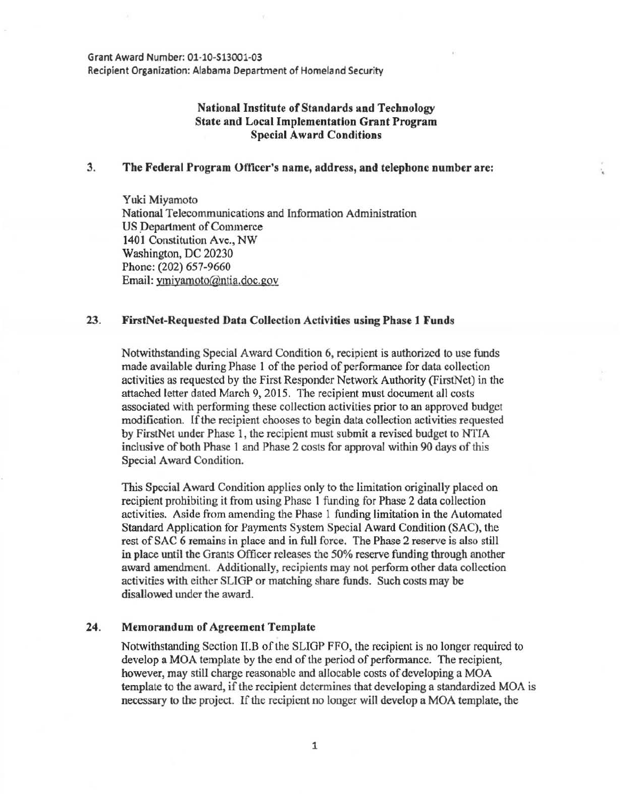Grant Award Number: 01-10-513001-03 Recipient Organization: Alabama Department of Homeland Security

## National Institute of Standards and Technology State and Local Implementation Grant Program Special Award Conditions

#### 3. The Federal Program Officer's name, address, and telephone number are:

Yuki Miyamoto National Telecommunications and Information Administration US Department of Commerce 1401 Constitution Ave., NW Washington, DC 20230 Phone: (202) 657-9660 Email: ymiyamoto@ntia.doc.gov

#### 23. FirstNet-Requested Data Collection Activities using Phase 1 Funds

Notwithstanding Special Award Condition 6, recipient is authorized to use funds made available during Phase 1 of the period of performance for data collection activities as requested by the First Responder Network Authority (FirstNct) in the attached letter dated March 9, 2015. The recipient must document all costs associated with performing these collection activities prior to an approved budget modification. If the recipient chooses to begin data collection activities requested by FirstNet under Phase 1, the recipient must submit a revised budget to NTIA inclusive of both Phase 1 and Phase 2 costs for approval within 90 days of this Special Award Condition.

This Special Award Condition applies only to the limitation originally placed on recipient prohibiting it from using Phase 1 funding for Phase 2 data collection activities. Aside from amending the Phase 1 funding limitation in the Automated Standard Application for Payments System Special Award Condition (SAC), the rest of SAC 6 remains in place and in full force. The Phase 2 reserve is also still in place until the Grants Officer releases the 50% reserve funding through another award amendment. Additionally, recipients may not perform other data collection activities with either SLIGP or matching share funds. Such costs may be disallowed under the award.

### 24. Memorandum of Agreement Template

Notwithstanding Section II.B of the SLIGP FFO, the recipient is no longer required to develop a MOA template by the end of the period of performance. The recipient, however, may still charge reasonable and allocable costs of developing a MOA template to the award, if the recipient determines that developing a standardized MOA is necessary to the project. If the recipient no longer will develop a MOA template, the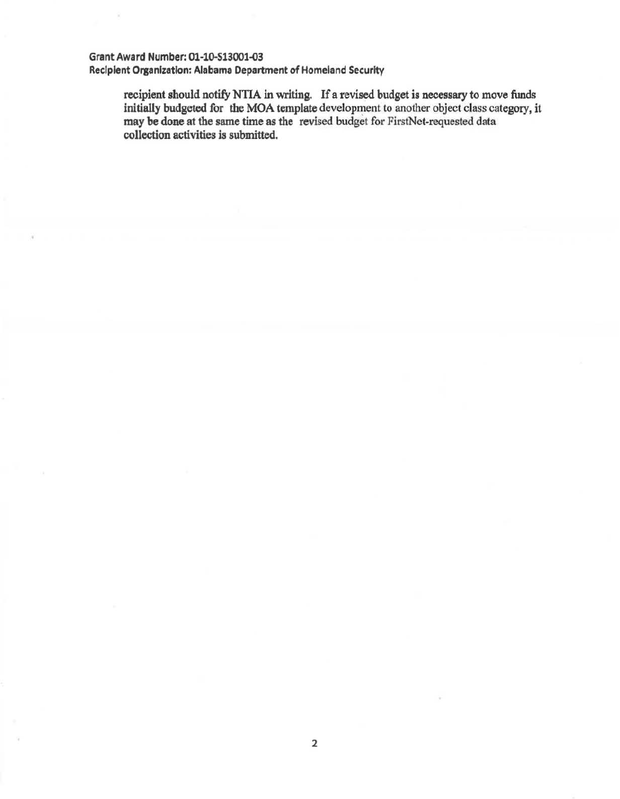# Grant Award Number: 01-10.513001-03

Recipient Organization: Alabama Department of Homeland Security

recipient should notify NTIA in writing. If a revised budget is necessary to move funds initially budgeted for the MOA template development to another object class category, it may be done at the same time as the revised budget for FirstNet-requested data collection activities is submitted.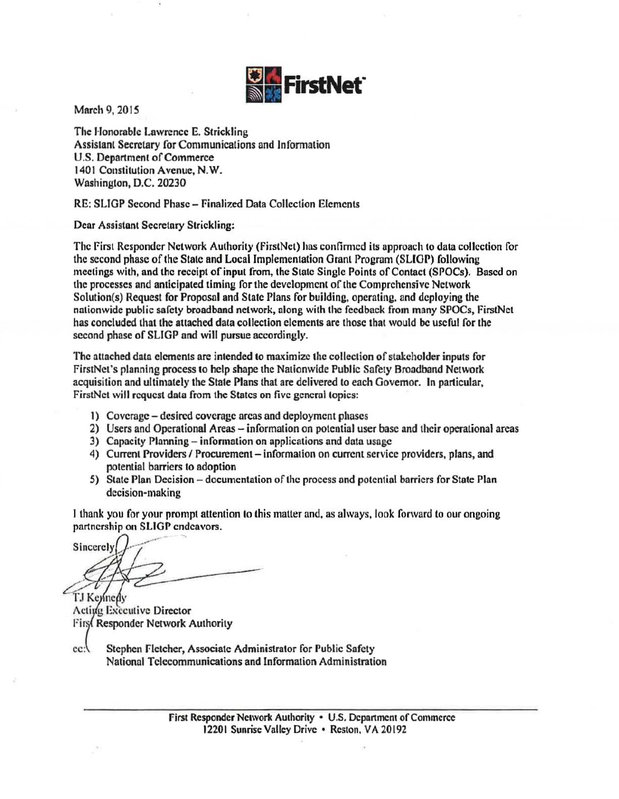

March 9, 201S

The Honorable Lawrence E. Strickling Assistant Secretary for Communications and Information U.S. Department of Commerce 1401 Constitution Avenue, N. W. Washington, D.C. 20230

RE: SLIGP Second Phase - Finalized Data Collection Elements

Dear Assistant Secretary Strickling:

The First Responder Network Authority (FirstNct) hns confirmed its approach to data collection for the second phase of the State and Local Implementation Grant Program (SLIOP) following meetings with, and the receipt of input from, the State Single Points of Contact (SPOCs). Based on the processes and anticipated timing for the development of the Comprehensive Network Solution(s) Request for Proposal and Slate Plans for building, operating, and deploying the nationwide public safety broadband network, along with the feedback from many SPOCs, FirstNet has concluded that the attached data collection elements are those that would be useful for the second phase of SLJGP and will pursue accordingly.

The attached data elements are intended to maximize the collection of stakeholder inputs for FirstNet's planning process to help shape the Nationwide Public Safety Broadband Network acquisition and ultimately the State Plans that are delivered to each Governor. In particular, FirstNet will request data from the States on five general topics:

- 1) Coverage desired coverage areas and deployment phases
- 2) Users and Operational Areas information on potential user base and their operational areas
- 3) Capacity Planning- infonnation on applications and data usage
- 4) Current Providers / Procurement information on current service providers, plans, and potential barriers to adoption
- 5) State Plan Decision -documentation of the process and potential barriers for State Plan decision-making

I thank you for your prompt attention to this matter and, as always, look forward to our ongoing partnership on SLIGP endeavors.

Sincerely

TJ Kennedy Acting Executive Director First Responder Network Authority

cc:\ Stephen Fletcher, Associate Administrator for Public Safety National Telecommunications and Information Administration